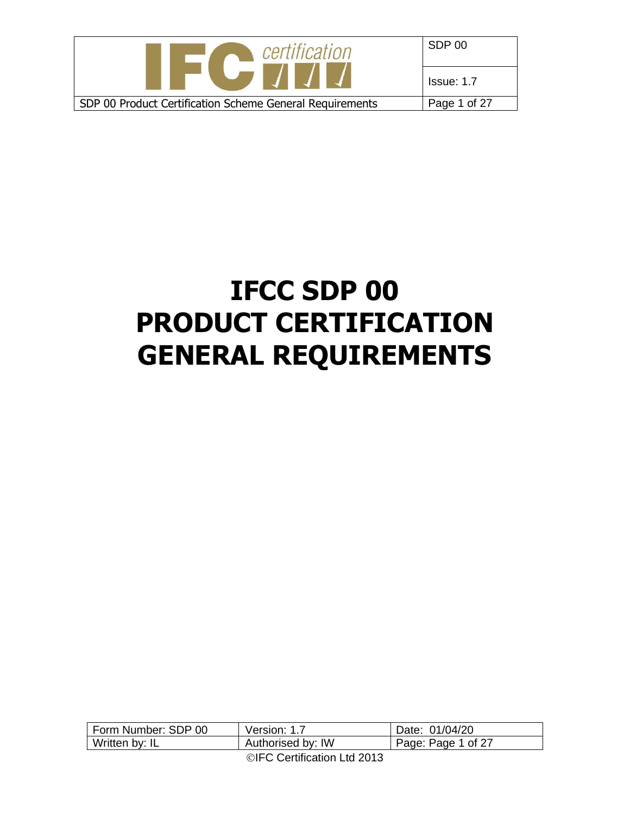| certification                                            | SDP 00            |
|----------------------------------------------------------|-------------------|
| <b>STATE</b>                                             | <b>Issue: 1.7</b> |
| SDP 00 Product Certification Scheme General Requirements | Page 1 of 27      |

# **IFCC SDP 00 PRODUCT CERTIFICATION GENERAL REQUIREMENTS**

| Form Number: SDP 00 | Version: 1.7                          | Date: 01/04/20     |
|---------------------|---------------------------------------|--------------------|
| Written by: IL      | Authorised by: IW                     | Page: Page 1 of 27 |
|                     | $\bigcirc$ IFO Contification Ltd 0040 |                    |

©IFC Certification Ltd 2013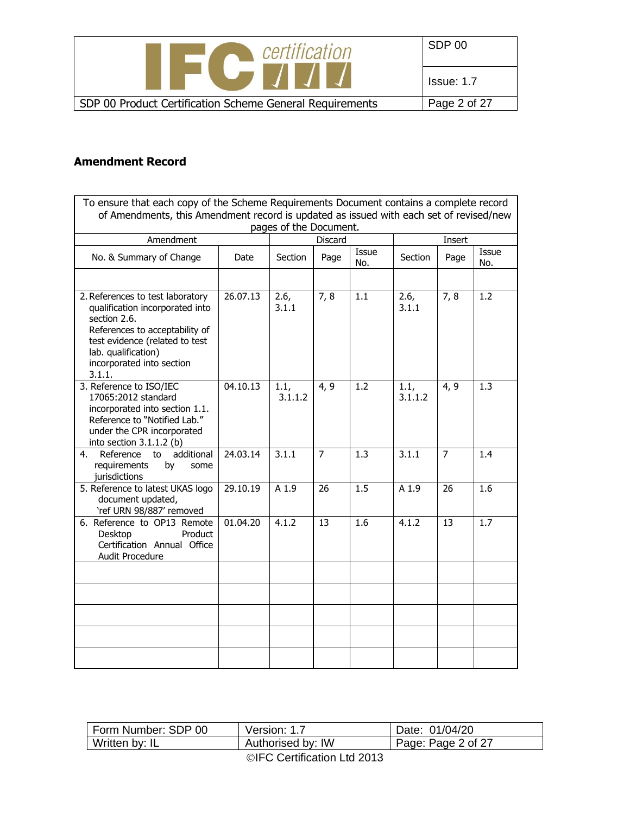| certification                                                        | SDP 00       |
|----------------------------------------------------------------------|--------------|
| <u> The Matter of the State of the State of the State of the Sta</u> | Issue: 1.7   |
| SDP 00 Product Certification Scheme General Requirements             | Page 2 of 27 |

## **Amendment Record**

| To ensure that each copy of the Scheme Requirements Document contains a complete record<br>of Amendments, this Amendment record is updated as issued with each set of revised/new                                     |          |                        |                |                  |                 |                |              |
|-----------------------------------------------------------------------------------------------------------------------------------------------------------------------------------------------------------------------|----------|------------------------|----------------|------------------|-----------------|----------------|--------------|
|                                                                                                                                                                                                                       |          | pages of the Document. |                |                  |                 |                |              |
| Amendment                                                                                                                                                                                                             |          |                        | <b>Discard</b> |                  |                 | Insert         |              |
| No. & Summary of Change                                                                                                                                                                                               | Date     | Section                | Page           | Issue<br>No.     | Section         | Page           | Issue<br>No. |
|                                                                                                                                                                                                                       |          |                        |                |                  |                 |                |              |
| 2. References to test laboratory<br>qualification incorporated into<br>section 2.6.<br>References to acceptability of<br>test evidence (related to test<br>lab. qualification)<br>incorporated into section<br>3.1.1. | 26.07.13 | 2.6,<br>3.1.1          | 7,8            | 1.1              | 2.6,<br>3.1.1   | 7,8            | 1.2          |
| 3. Reference to ISO/IEC<br>17065:2012 standard<br>incorporated into section 1.1.<br>Reference to "Notified Lab."<br>under the CPR incorporated<br>into section 3.1.1.2 (b)                                            | 04.10.13 | 1.1,<br>3.1.1.2        | 4, 9           | 1.2              | 1.1,<br>3.1.1.2 | 4, 9           | 1.3          |
| additional<br>Reference to<br>4.<br>requirements<br>by<br>some<br>jurisdictions                                                                                                                                       | 24.03.14 | 3.1.1                  | $\overline{7}$ | $\overline{1.3}$ | 3.1.1           | $\overline{7}$ | 1.4          |
| 5. Reference to latest UKAS logo<br>document updated,<br>'ref URN 98/887' removed                                                                                                                                     | 29.10.19 | A 1.9                  | 26             | 1.5              | A 1.9           | 26             | 1.6          |
| 6. Reference to OP13 Remote<br>Desktop<br>Product<br>Certification Annual Office<br>Audit Procedure                                                                                                                   | 01.04.20 | 4.1.2                  | 13             | 1.6              | 4.1.2           | 13             | 1.7          |
|                                                                                                                                                                                                                       |          |                        |                |                  |                 |                |              |
|                                                                                                                                                                                                                       |          |                        |                |                  |                 |                |              |
|                                                                                                                                                                                                                       |          |                        |                |                  |                 |                |              |
|                                                                                                                                                                                                                       |          |                        |                |                  |                 |                |              |

| Form Number: SDP 00         | Version: 1.7      | Date: 01/04/20     |
|-----------------------------|-------------------|--------------------|
| Written by: IL              | Authorised by: IW | Page: Page 2 of 27 |
| ©IFC Certification Ltd 2013 |                   |                    |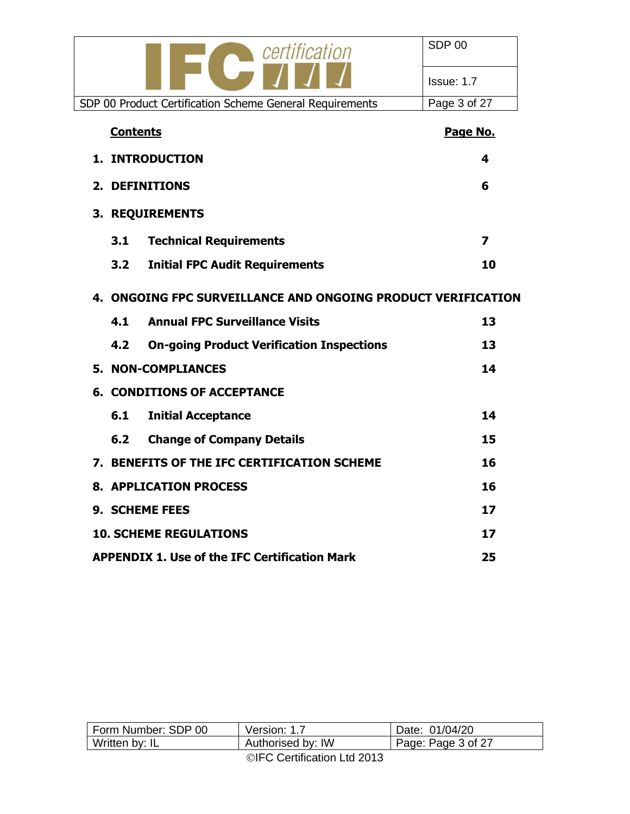| certification                                                | SDP 00       |
|--------------------------------------------------------------|--------------|
|                                                              | Issue: 1.7   |
| SDP 00 Product Certification Scheme General Requirements     | Page 3 of 27 |
| <b>Contents</b>                                              | Page No.     |
| 1. INTRODUCTION                                              | 4            |
| 2. DEFINITIONS                                               | 6            |
| 3. REQUIREMENTS                                              |              |
| <b>Technical Requirements</b><br>3.1                         | 7            |
| <b>Initial FPC Audit Requirements</b><br>3.2                 | 10           |
| 4. ONGOING FPC SURVEILLANCE AND ONGOING PRODUCT VERIFICATION |              |
| <b>Annual FPC Surveillance Visits</b><br>4.1                 | 13           |
| 4.2<br><b>On-going Product Verification Inspections</b>      | 13           |
| <b>5. NON-COMPLIANCES</b>                                    | 14           |
| <b>6. CONDITIONS OF ACCEPTANCE</b>                           |              |
| 6.1<br><b>Initial Acceptance</b>                             | 14           |
| 6.2<br><b>Change of Company Details</b>                      | 15           |
| 7. BENEFITS OF THE IFC CERTIFICATION SCHEME                  | 16           |
| <b>8. APPLICATION PROCESS</b>                                | 16           |
| 9. SCHEME FEES                                               | 17           |
| <b>10. SCHEME REGULATIONS</b>                                | 17           |
| <b>APPENDIX 1. Use of the IFC Certification Mark</b>         | 25           |

| Form Number: SDP 00 | Version: 1.7                          | Date: 01/04/20             |
|---------------------|---------------------------------------|----------------------------|
| Written by: IL      | Authorised by: IW                     | $\vert$ Page: Page 3 of 27 |
|                     | $\bigcirc$ IEO Cartification Ltd 0010 |                            |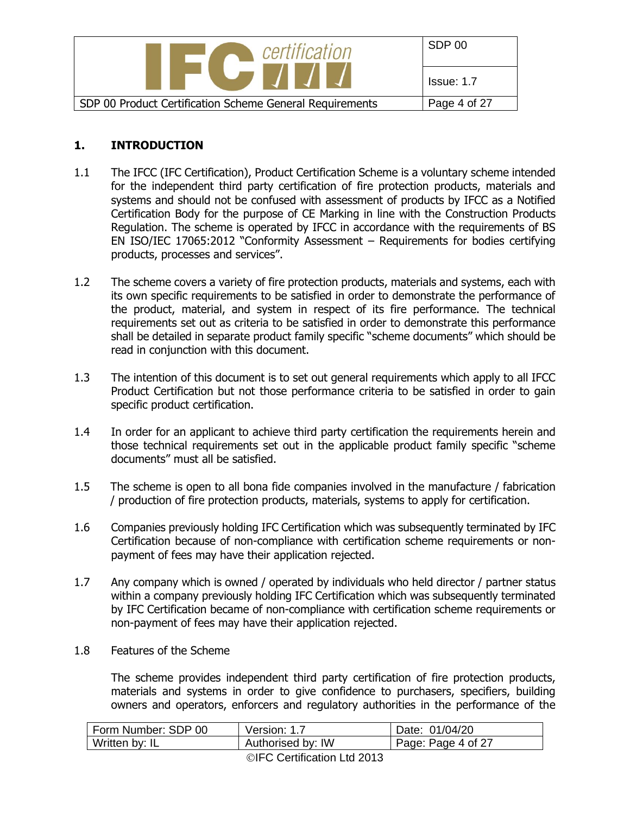| certification                                            | SDP 00       |
|----------------------------------------------------------|--------------|
| <b>PERSONAL PROPERTY</b>                                 | Issue: 1.7   |
| SDP 00 Product Certification Scheme General Requirements | Page 4 of 27 |

#### **1. INTRODUCTION**

- 1.1 The IFCC (IFC Certification), Product Certification Scheme is a voluntary scheme intended for the independent third party certification of fire protection products, materials and systems and should not be confused with assessment of products by IFCC as a Notified Certification Body for the purpose of CE Marking in line with the Construction Products Regulation. The scheme is operated by IFCC in accordance with the requirements of BS EN ISO/IEC 17065:2012 "Conformity Assessment – Requirements for bodies certifying products, processes and services".
- 1.2 The scheme covers a variety of fire protection products, materials and systems, each with its own specific requirements to be satisfied in order to demonstrate the performance of the product, material, and system in respect of its fire performance. The technical requirements set out as criteria to be satisfied in order to demonstrate this performance shall be detailed in separate product family specific "scheme documents" which should be read in conjunction with this document.
- 1.3 The intention of this document is to set out general requirements which apply to all IFCC Product Certification but not those performance criteria to be satisfied in order to gain specific product certification.
- 1.4 In order for an applicant to achieve third party certification the requirements herein and those technical requirements set out in the applicable product family specific "scheme documents" must all be satisfied.
- 1.5 The scheme is open to all bona fide companies involved in the manufacture / fabrication / production of fire protection products, materials, systems to apply for certification.
- 1.6 Companies previously holding IFC Certification which was subsequently terminated by IFC Certification because of non-compliance with certification scheme requirements or nonpayment of fees may have their application rejected.
- 1.7 Any company which is owned / operated by individuals who held director / partner status within a company previously holding IFC Certification which was subsequently terminated by IFC Certification became of non-compliance with certification scheme requirements or non-payment of fees may have their application rejected.
- 1.8 Features of the Scheme

The scheme provides independent third party certification of fire protection products, materials and systems in order to give confidence to purchasers, specifiers, building owners and operators, enforcers and regulatory authorities in the performance of the

| Form Number: SDP 00 | Version: 1.7                       | Date: 01/04/20     |
|---------------------|------------------------------------|--------------------|
| Written by: IL      | Authorised by: IW                  | Page: Page 4 of 27 |
|                     | __________________________________ |                    |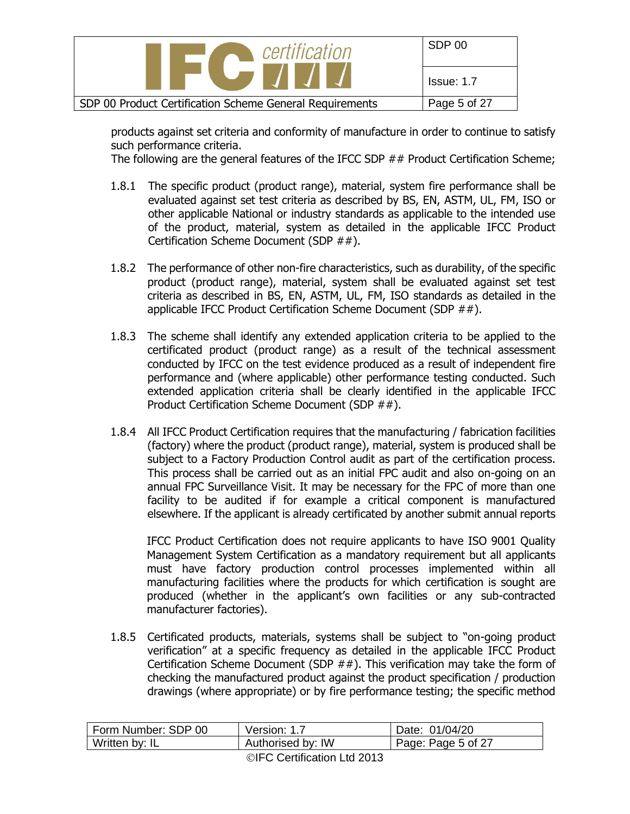| certification<br><b>THE REAL</b>                         | SDP 00            |
|----------------------------------------------------------|-------------------|
|                                                          | <b>Issue: 1.7</b> |
| SDP 00 Product Certification Scheme General Requirements | Page 5 of 27      |

products against set criteria and conformity of manufacture in order to continue to satisfy such performance criteria.

The following are the general features of the IFCC SDP ## Product Certification Scheme;

- 1.8.1 The specific product (product range), material, system fire performance shall be evaluated against set test criteria as described by BS, EN, ASTM, UL, FM, ISO or other applicable National or industry standards as applicable to the intended use of the product, material, system as detailed in the applicable IFCC Product Certification Scheme Document (SDP ##).
- 1.8.2 The performance of other non-fire characteristics, such as durability, of the specific product (product range), material, system shall be evaluated against set test criteria as described in BS, EN, ASTM, UL, FM, ISO standards as detailed in the applicable IFCC Product Certification Scheme Document (SDP ##).
- 1.8.3 The scheme shall identify any extended application criteria to be applied to the certificated product (product range) as a result of the technical assessment conducted by IFCC on the test evidence produced as a result of independent fire performance and (where applicable) other performance testing conducted. Such extended application criteria shall be clearly identified in the applicable IFCC Product Certification Scheme Document (SDP ##).
- 1.8.4 All IFCC Product Certification requires that the manufacturing / fabrication facilities (factory) where the product (product range), material, system is produced shall be subject to a Factory Production Control audit as part of the certification process. This process shall be carried out as an initial FPC audit and also on-going on an annual FPC Surveillance Visit. It may be necessary for the FPC of more than one facility to be audited if for example a critical component is manufactured elsewhere. If the applicant is already certificated by another submit annual reports

IFCC Product Certification does not require applicants to have ISO 9001 Quality Management System Certification as a mandatory requirement but all applicants must have factory production control processes implemented within all manufacturing facilities where the products for which certification is sought are produced (whether in the applicant's own facilities or any sub-contracted manufacturer factories).

1.8.5 Certificated products, materials, systems shall be subject to "on-going product verification" at a specific frequency as detailed in the applicable IFCC Product Certification Scheme Document (SDP  $##$ ). This verification may take the form of checking the manufactured product against the product specification / production drawings (where appropriate) or by fire performance testing; the specific method

| Form Number: SDP 00 | Version: 1.7      | Date: 01/04/20     |
|---------------------|-------------------|--------------------|
| Written by: IL      | Authorised by: IW | Page: Page 5 of 27 |
|                     |                   |                    |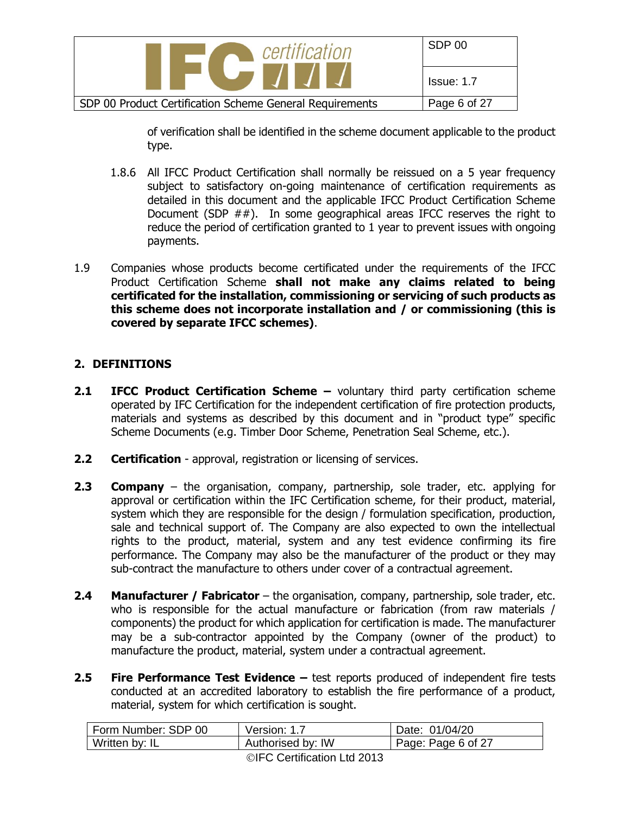

of verification shall be identified in the scheme document applicable to the product type.

- 1.8.6 All IFCC Product Certification shall normally be reissued on a 5 year frequency subject to satisfactory on-going maintenance of certification requirements as detailed in this document and the applicable IFCC Product Certification Scheme Document (SDP  $##$ ). In some geographical areas IFCC reserves the right to reduce the period of certification granted to 1 year to prevent issues with ongoing payments.
- 1.9 Companies whose products become certificated under the requirements of the IFCC Product Certification Scheme **shall not make any claims related to being certificated for the installation, commissioning or servicing of such products as this scheme does not incorporate installation and / or commissioning (this is covered by separate IFCC schemes)**.

#### **2. DEFINITIONS**

- **2.1 <b>IFCC Product Certification Scheme** voluntary third party certification scheme operated by IFC Certification for the independent certification of fire protection products, materials and systems as described by this document and in "product type" specific Scheme Documents (e.g. Timber Door Scheme, Penetration Seal Scheme, etc.).
- **2.2 Certification**  approval, registration or licensing of services.
- **2.3 Company** the organisation, company, partnership, sole trader, etc. applying for approval or certification within the IFC Certification scheme, for their product, material, system which they are responsible for the design / formulation specification, production, sale and technical support of. The Company are also expected to own the intellectual rights to the product, material, system and any test evidence confirming its fire performance. The Company may also be the manufacturer of the product or they may sub-contract the manufacture to others under cover of a contractual agreement.
- **2.4 Manufacturer / Fabricator** the organisation, company, partnership, sole trader, etc. who is responsible for the actual manufacture or fabrication (from raw materials / components) the product for which application for certification is made. The manufacturer may be a sub-contractor appointed by the Company (owner of the product) to manufacture the product, material, system under a contractual agreement.
- **2.5 Fire Performance Test Evidence –** test reports produced of independent fire tests conducted at an accredited laboratory to establish the fire performance of a product, material, system for which certification is sought.

| Form Number: SDP 00 | Version: 1.7      | Date: 01/04/20     |
|---------------------|-------------------|--------------------|
| Written by: IL      | Authorised by: IW | Page: Page 6 of 27 |
|                     |                   |                    |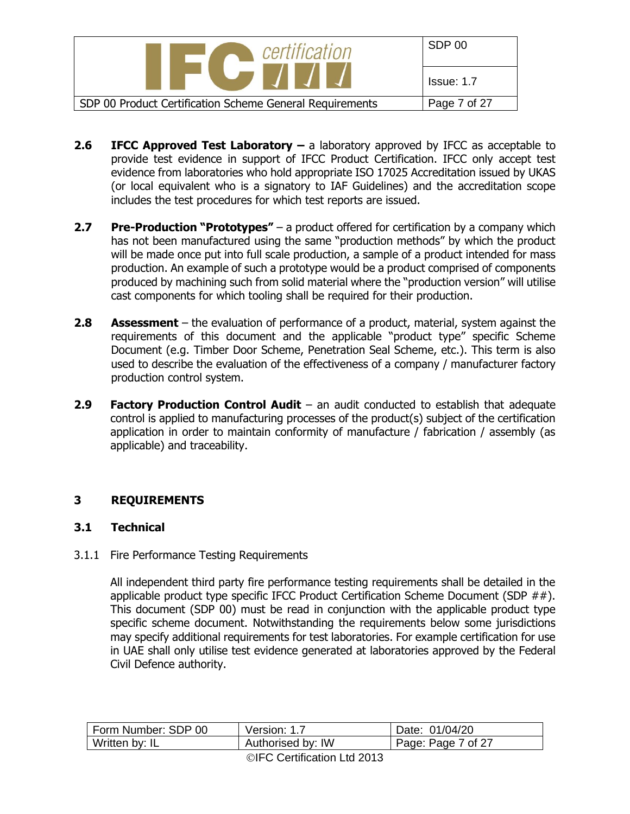| certification                                            | SDP 00       |
|----------------------------------------------------------|--------------|
|                                                          | Issue: 1.7   |
| SDP 00 Product Certification Scheme General Requirements | Page 7 of 27 |

- **2.6 IFCC Approved Test Laboratory –** a laboratory approved by IFCC as acceptable to provide test evidence in support of IFCC Product Certification. IFCC only accept test evidence from laboratories who hold appropriate ISO 17025 Accreditation issued by UKAS (or local equivalent who is a signatory to IAF Guidelines) and the accreditation scope includes the test procedures for which test reports are issued.
- **2.7 Pre-Production "Prototypes"** a product offered for certification by a company which has not been manufactured using the same "production methods" by which the product will be made once put into full scale production, a sample of a product intended for mass production. An example of such a prototype would be a product comprised of components produced by machining such from solid material where the "production version" will utilise cast components for which tooling shall be required for their production.
- **2.8 Assessment** the evaluation of performance of a product, material, system against the requirements of this document and the applicable "product type" specific Scheme Document (e.g. Timber Door Scheme, Penetration Seal Scheme, etc.). This term is also used to describe the evaluation of the effectiveness of a company / manufacturer factory production control system.
- **2.9 Factory Production Control Audit**  an audit conducted to establish that adequate control is applied to manufacturing processes of the product(s) subject of the certification application in order to maintain conformity of manufacture / fabrication / assembly (as applicable) and traceability.

## **3 REQUIREMENTS**

## **3.1 Technical**

#### 3.1.1 Fire Performance Testing Requirements

All independent third party fire performance testing requirements shall be detailed in the applicable product type specific IFCC Product Certification Scheme Document (SDP ##). This document (SDP 00) must be read in conjunction with the applicable product type specific scheme document. Notwithstanding the requirements below some jurisdictions may specify additional requirements for test laboratories. For example certification for use in UAE shall only utilise test evidence generated at laboratories approved by the Federal Civil Defence authority.

| Form Number: SDP 00 | Version: 1.7                                                                                                                                                                                                                                                                                                                                                                                                            | Date: 01/04/20     |
|---------------------|-------------------------------------------------------------------------------------------------------------------------------------------------------------------------------------------------------------------------------------------------------------------------------------------------------------------------------------------------------------------------------------------------------------------------|--------------------|
| Written by: IL      | Authorised by: IW                                                                                                                                                                                                                                                                                                                                                                                                       | Page: Page 7 of 27 |
|                     | $\mathbf{a} \mathbf{b} = \mathbf{a} \mathbf{b} \mathbf{a} \mathbf{b} \mathbf{b} \mathbf{c} \mathbf{c} \mathbf{c} \mathbf{c} \mathbf{c} \mathbf{c} \mathbf{c} \mathbf{c} \mathbf{c} \mathbf{c} \mathbf{c} \mathbf{c} \mathbf{c} \mathbf{c} \mathbf{c} \mathbf{c} \mathbf{c} \mathbf{c} \mathbf{c} \mathbf{c} \mathbf{c} \mathbf{c} \mathbf{c} \mathbf{c} \mathbf{c} \mathbf{c} \mathbf{c} \mathbf{c} \mathbf{c} \mathbf$ |                    |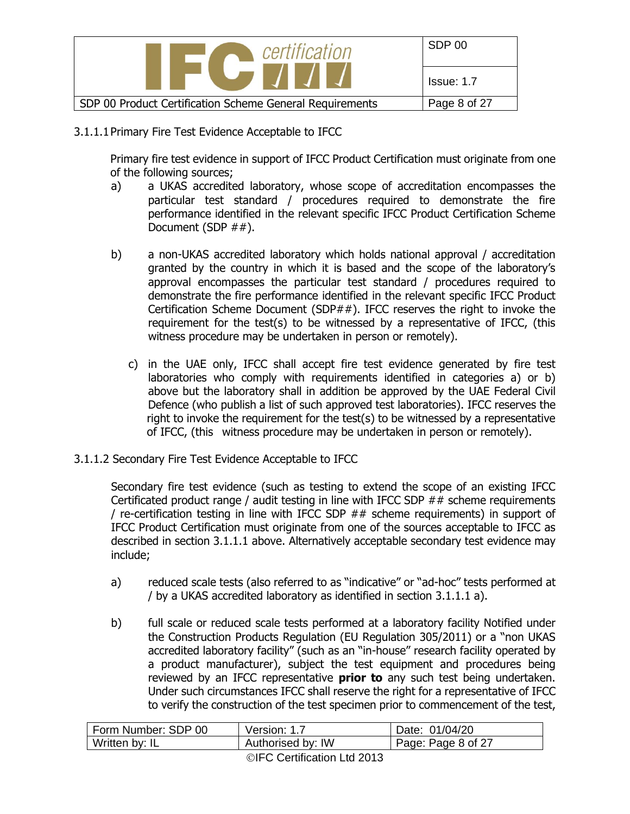

3.1.1.1Primary Fire Test Evidence Acceptable to IFCC

Primary fire test evidence in support of IFCC Product Certification must originate from one of the following sources;

- a) a UKAS accredited laboratory, whose scope of accreditation encompasses the particular test standard / procedures required to demonstrate the fire performance identified in the relevant specific IFCC Product Certification Scheme Document (SDP ##).
- b) a non-UKAS accredited laboratory which holds national approval / accreditation granted by the country in which it is based and the scope of the laboratory's approval encompasses the particular test standard / procedures required to demonstrate the fire performance identified in the relevant specific IFCC Product Certification Scheme Document (SDP##). IFCC reserves the right to invoke the requirement for the test(s) to be witnessed by a representative of IFCC, (this witness procedure may be undertaken in person or remotely).
	- c) in the UAE only, IFCC shall accept fire test evidence generated by fire test laboratories who comply with requirements identified in categories a) or b) above but the laboratory shall in addition be approved by the UAE Federal Civil Defence (who publish a list of such approved test laboratories). IFCC reserves the right to invoke the requirement for the test(s) to be witnessed by a representative of IFCC, (this witness procedure may be undertaken in person or remotely).
- 3.1.1.2 Secondary Fire Test Evidence Acceptable to IFCC

Secondary fire test evidence (such as testing to extend the scope of an existing IFCC Certificated product range / audit testing in line with IFCC SDP  $##$  scheme requirements / re-certification testing in line with IFCC SDP ## scheme requirements) in support of IFCC Product Certification must originate from one of the sources acceptable to IFCC as described in section 3.1.1.1 above. Alternatively acceptable secondary test evidence may include;

- a) reduced scale tests (also referred to as "indicative" or "ad-hoc" tests performed at / by a UKAS accredited laboratory as identified in section 3.1.1.1 a).
- b) full scale or reduced scale tests performed at a laboratory facility Notified under the Construction Products Regulation (EU Regulation 305/2011) or a "non UKAS accredited laboratory facility" (such as an "in-house" research facility operated by a product manufacturer), subject the test equipment and procedures being reviewed by an IFCC representative **prior to** any such test being undertaken. Under such circumstances IFCC shall reserve the right for a representative of IFCC to verify the construction of the test specimen prior to commencement of the test,

| Form Number: SDP 00 | Version: 1.7      | Date: 01/04/20     |
|---------------------|-------------------|--------------------|
| Written by: IL      | Authorised by: IW | Page: Page 8 of 27 |
|                     |                   |                    |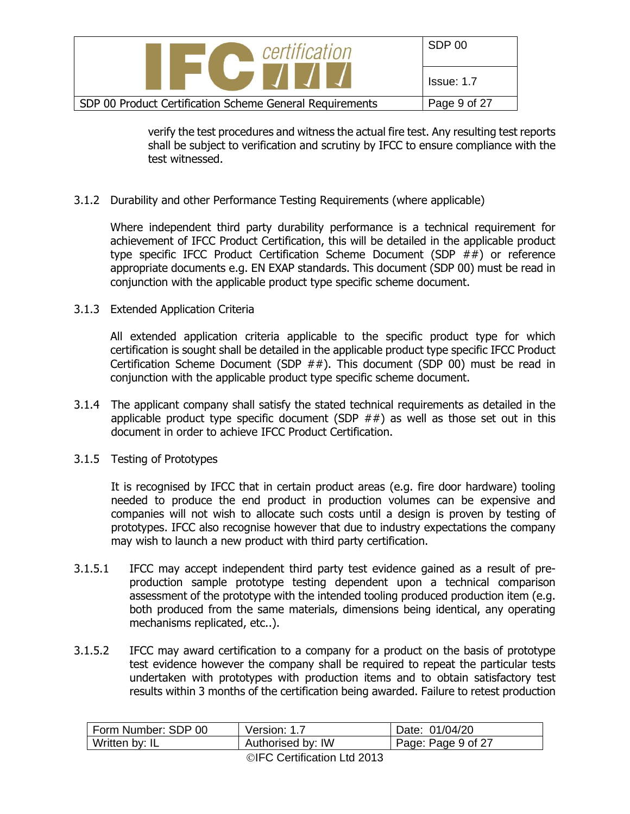| certification                                            | SDP 00            |
|----------------------------------------------------------|-------------------|
|                                                          | <b>Issue: 1.7</b> |
| SDP 00 Product Certification Scheme General Requirements | Page 9 of 27      |

verify the test procedures and witness the actual fire test. Any resulting test reports shall be subject to verification and scrutiny by IFCC to ensure compliance with the test witnessed.

#### 3.1.2 Durability and other Performance Testing Requirements (where applicable)

Where independent third party durability performance is a technical requirement for achievement of IFCC Product Certification, this will be detailed in the applicable product type specific IFCC Product Certification Scheme Document (SDP ##) or reference appropriate documents e.g. EN EXAP standards. This document (SDP 00) must be read in conjunction with the applicable product type specific scheme document.

#### 3.1.3 Extended Application Criteria

All extended application criteria applicable to the specific product type for which certification is sought shall be detailed in the applicable product type specific IFCC Product Certification Scheme Document (SDP ##). This document (SDP 00) must be read in conjunction with the applicable product type specific scheme document.

- 3.1.4 The applicant company shall satisfy the stated technical requirements as detailed in the applicable product type specific document (SDP  $#$  $#$ ) as well as those set out in this document in order to achieve IFCC Product Certification.
- 3.1.5 Testing of Prototypes

It is recognised by IFCC that in certain product areas (e.g. fire door hardware) tooling needed to produce the end product in production volumes can be expensive and companies will not wish to allocate such costs until a design is proven by testing of prototypes. IFCC also recognise however that due to industry expectations the company may wish to launch a new product with third party certification.

- 3.1.5.1 IFCC may accept independent third party test evidence gained as a result of preproduction sample prototype testing dependent upon a technical comparison assessment of the prototype with the intended tooling produced production item (e.g. both produced from the same materials, dimensions being identical, any operating mechanisms replicated, etc..).
- 3.1.5.2 IFCC may award certification to a company for a product on the basis of prototype test evidence however the company shall be required to repeat the particular tests undertaken with prototypes with production items and to obtain satisfactory test results within 3 months of the certification being awarded. Failure to retest production

| Form Number: SDP 00 | Version: 1.7      | Date: 01/04/20     |
|---------------------|-------------------|--------------------|
| Written by: IL      | Authorised by: IW | Page: Page 9 of 27 |
|                     |                   |                    |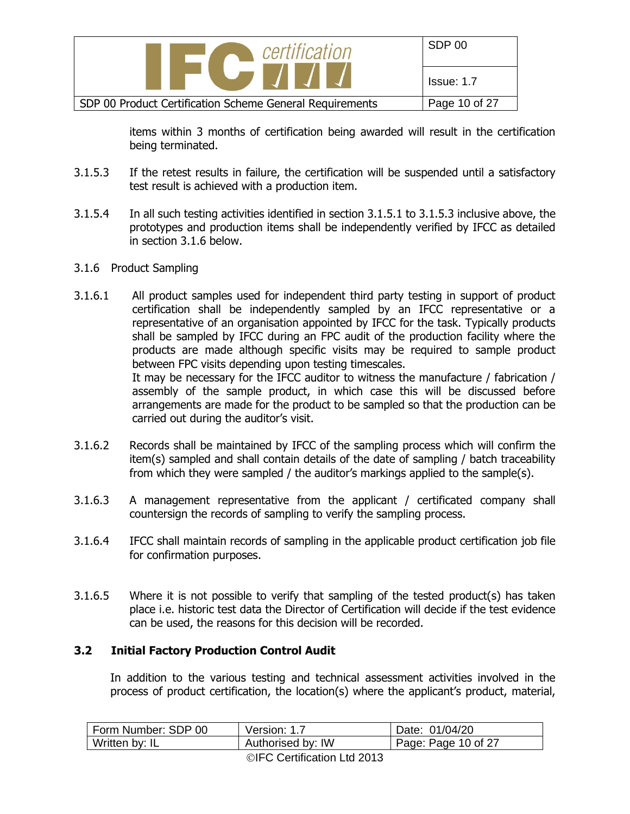| certification                                            | SDP 00        |
|----------------------------------------------------------|---------------|
| $\blacksquare$                                           | Issue: 1.7    |
| SDP 00 Product Certification Scheme General Requirements | Page 10 of 27 |

items within 3 months of certification being awarded will result in the certification being terminated.

- 3.1.5.3 If the retest results in failure, the certification will be suspended until a satisfactory test result is achieved with a production item.
- 3.1.5.4 In all such testing activities identified in section 3.1.5.1 to 3.1.5.3 inclusive above, the prototypes and production items shall be independently verified by IFCC as detailed in section 3.1.6 below.
- 3.1.6 Product Sampling
- 3.1.6.1 All product samples used for independent third party testing in support of product certification shall be independently sampled by an IFCC representative or a representative of an organisation appointed by IFCC for the task. Typically products shall be sampled by IFCC during an FPC audit of the production facility where the products are made although specific visits may be required to sample product between FPC visits depending upon testing timescales. It may be necessary for the IFCC auditor to witness the manufacture / fabrication / assembly of the sample product, in which case this will be discussed before arrangements are made for the product to be sampled so that the production can be carried out during the auditor's visit.
- 3.1.6.2 Records shall be maintained by IFCC of the sampling process which will confirm the item(s) sampled and shall contain details of the date of sampling / batch traceability from which they were sampled / the auditor's markings applied to the sample(s).
- 3.1.6.3 A management representative from the applicant / certificated company shall countersign the records of sampling to verify the sampling process.
- 3.1.6.4 IFCC shall maintain records of sampling in the applicable product certification job file for confirmation purposes.
- 3.1.6.5 Where it is not possible to verify that sampling of the tested product(s) has taken place i.e. historic test data the Director of Certification will decide if the test evidence can be used, the reasons for this decision will be recorded.

#### **3.2 Initial Factory Production Control Audit**

In addition to the various testing and technical assessment activities involved in the process of product certification, the location(s) where the applicant's product, material,

| Form Number: SDP 00 | Version: 1.7                                                                                                                                                                                                                                                                                                                                                                                                            | Date: 01/04/20              |
|---------------------|-------------------------------------------------------------------------------------------------------------------------------------------------------------------------------------------------------------------------------------------------------------------------------------------------------------------------------------------------------------------------------------------------------------------------|-----------------------------|
| Written by: IL      | Authorised by: IW                                                                                                                                                                                                                                                                                                                                                                                                       | $\vert$ Page: Page 10 of 27 |
|                     | $\mathbf{a} \mathbf{b} = \mathbf{a} \mathbf{b} \mathbf{a} \mathbf{b} \mathbf{b} \mathbf{c} \mathbf{c} \mathbf{c} \mathbf{c} \mathbf{c} \mathbf{c} \mathbf{c} \mathbf{c} \mathbf{c} \mathbf{c} \mathbf{c} \mathbf{c} \mathbf{c} \mathbf{c} \mathbf{c} \mathbf{c} \mathbf{c} \mathbf{c} \mathbf{c} \mathbf{c} \mathbf{c} \mathbf{c} \mathbf{c} \mathbf{c} \mathbf{c} \mathbf{c} \mathbf{c} \mathbf{c} \mathbf{c} \mathbf$ |                             |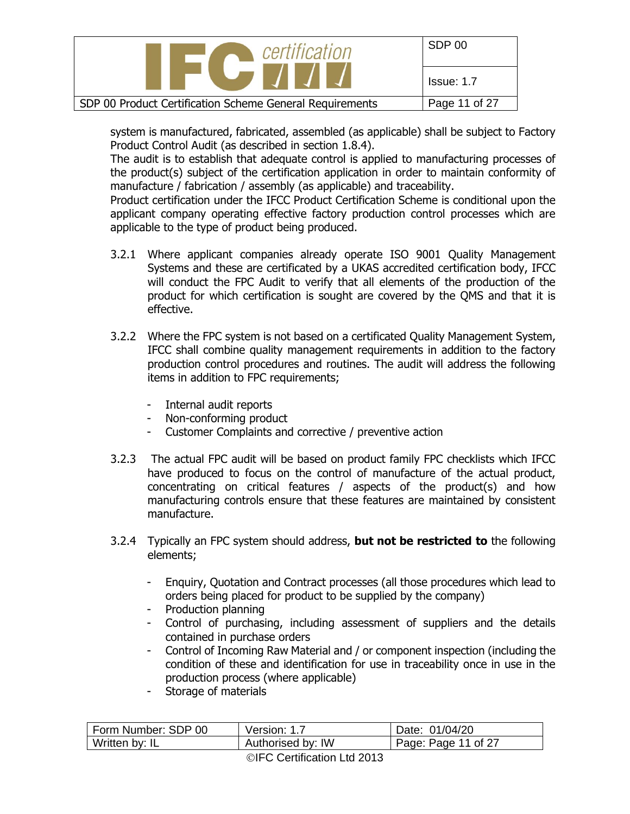| certification                                            | SDP 00        |
|----------------------------------------------------------|---------------|
|                                                          | Issue: 1.7    |
| SDP 00 Product Certification Scheme General Requirements | Page 11 of 27 |

system is manufactured, fabricated, assembled (as applicable) shall be subject to Factory Product Control Audit (as described in section 1.8.4).

The audit is to establish that adequate control is applied to manufacturing processes of the product(s) subject of the certification application in order to maintain conformity of manufacture / fabrication / assembly (as applicable) and traceability.

Product certification under the IFCC Product Certification Scheme is conditional upon the applicant company operating effective factory production control processes which are applicable to the type of product being produced.

- 3.2.1 Where applicant companies already operate ISO 9001 Quality Management Systems and these are certificated by a UKAS accredited certification body, IFCC will conduct the FPC Audit to verify that all elements of the production of the product for which certification is sought are covered by the QMS and that it is effective.
- 3.2.2 Where the FPC system is not based on a certificated Quality Management System, IFCC shall combine quality management requirements in addition to the factory production control procedures and routines. The audit will address the following items in addition to FPC requirements;
	- Internal audit reports
	- Non-conforming product
	- Customer Complaints and corrective / preventive action
- 3.2.3 The actual FPC audit will be based on product family FPC checklists which IFCC have produced to focus on the control of manufacture of the actual product, concentrating on critical features / aspects of the product(s) and how manufacturing controls ensure that these features are maintained by consistent manufacture.
- 3.2.4 Typically an FPC system should address, **but not be restricted to** the following elements;
	- Enquiry, Quotation and Contract processes (all those procedures which lead to orders being placed for product to be supplied by the company)
	- Production planning
	- Control of purchasing, including assessment of suppliers and the details contained in purchase orders
	- Control of Incoming Raw Material and / or component inspection (including the condition of these and identification for use in traceability once in use in the production process (where applicable)
	- Storage of materials

| Form Number: SDP 00 | Version: 1.7      | Date: 01/04/20      |
|---------------------|-------------------|---------------------|
| Written by: IL      | Authorised by: IW | Page: Page 11 of 27 |
|                     |                   |                     |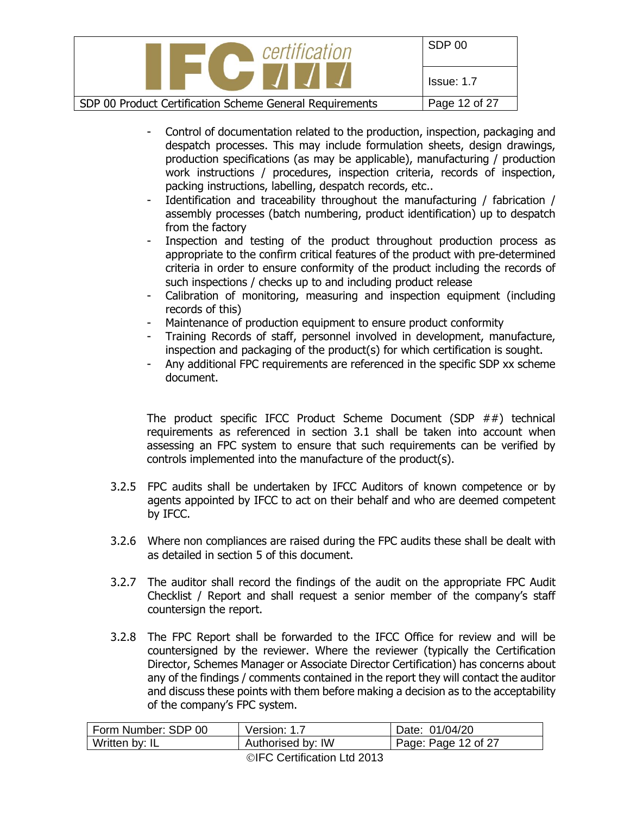| $\setminus$ certification                                                                                               | SDP 00        |
|-------------------------------------------------------------------------------------------------------------------------|---------------|
| <b>The Contract of the Contract of the Contract of the Contract of the Contract of the Contract of the Contract of </b> | Issue: 1.7    |
| SDP 00 Product Certification Scheme General Requirements                                                                | Page 12 of 27 |

- Control of documentation related to the production, inspection, packaging and despatch processes. This may include formulation sheets, design drawings, production specifications (as may be applicable), manufacturing / production work instructions / procedures, inspection criteria, records of inspection, packing instructions, labelling, despatch records, etc..
- Identification and traceability throughout the manufacturing / fabrication / assembly processes (batch numbering, product identification) up to despatch from the factory
- Inspection and testing of the product throughout production process as appropriate to the confirm critical features of the product with pre-determined criteria in order to ensure conformity of the product including the records of such inspections / checks up to and including product release
- Calibration of monitoring, measuring and inspection equipment (including records of this)
- Maintenance of production equipment to ensure product conformity
- Training Records of staff, personnel involved in development, manufacture, inspection and packaging of the product(s) for which certification is sought.
- Any additional FPC requirements are referenced in the specific SDP xx scheme document.

The product specific IFCC Product Scheme Document (SDP ##) technical requirements as referenced in section 3.1 shall be taken into account when assessing an FPC system to ensure that such requirements can be verified by controls implemented into the manufacture of the product(s).

- 3.2.5 FPC audits shall be undertaken by IFCC Auditors of known competence or by agents appointed by IFCC to act on their behalf and who are deemed competent by IFCC.
- 3.2.6 Where non compliances are raised during the FPC audits these shall be dealt with as detailed in section 5 of this document.
- 3.2.7 The auditor shall record the findings of the audit on the appropriate FPC Audit Checklist / Report and shall request a senior member of the company's staff countersign the report.
- 3.2.8 The FPC Report shall be forwarded to the IFCC Office for review and will be countersigned by the reviewer. Where the reviewer (typically the Certification Director, Schemes Manager or Associate Director Certification) has concerns about any of the findings / comments contained in the report they will contact the auditor and discuss these points with them before making a decision as to the acceptability of the company's FPC system.

| Form Number: SDP 00 | Version: 1.7      | Date: 01/04/20      |
|---------------------|-------------------|---------------------|
| Written by: IL      | Authorised by: IW | Page: Page 12 of 27 |
|                     |                   |                     |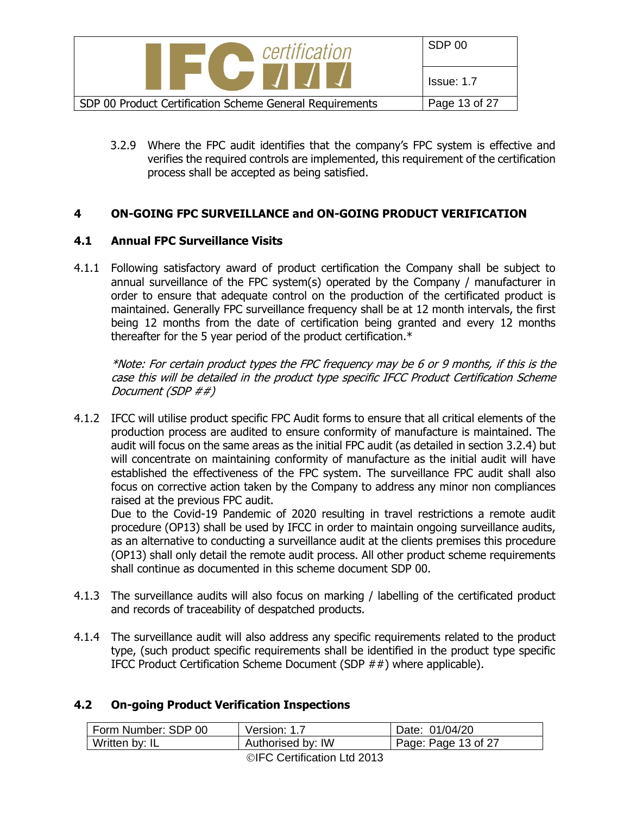

3.2.9 Where the FPC audit identifies that the company's FPC system is effective and verifies the required controls are implemented, this requirement of the certification process shall be accepted as being satisfied.

#### **4 ON-GOING FPC SURVEILLANCE and ON-GOING PRODUCT VERIFICATION**

#### **4.1 Annual FPC Surveillance Visits**

4.1.1 Following satisfactory award of product certification the Company shall be subject to annual surveillance of the FPC system(s) operated by the Company / manufacturer in order to ensure that adequate control on the production of the certificated product is maintained. Generally FPC surveillance frequency shall be at 12 month intervals, the first being 12 months from the date of certification being granted and every 12 months thereafter for the 5 year period of the product certification.\*

\*Note: For certain product types the FPC frequency may be 6 or 9 months, if this is the case this will be detailed in the product type specific IFCC Product Certification Scheme Document (SDP ##)

4.1.2 IFCC will utilise product specific FPC Audit forms to ensure that all critical elements of the production process are audited to ensure conformity of manufacture is maintained. The audit will focus on the same areas as the initial FPC audit (as detailed in section 3.2.4) but will concentrate on maintaining conformity of manufacture as the initial audit will have established the effectiveness of the FPC system. The surveillance FPC audit shall also focus on corrective action taken by the Company to address any minor non compliances raised at the previous FPC audit.

Due to the Covid-19 Pandemic of 2020 resulting in travel restrictions a remote audit procedure (OP13) shall be used by IFCC in order to maintain ongoing surveillance audits, as an alternative to conducting a surveillance audit at the clients premises this procedure (OP13) shall only detail the remote audit process. All other product scheme requirements shall continue as documented in this scheme document SDP 00.

- 4.1.3 The surveillance audits will also focus on marking / labelling of the certificated product and records of traceability of despatched products.
- 4.1.4 The surveillance audit will also address any specific requirements related to the product type, (such product specific requirements shall be identified in the product type specific IFCC Product Certification Scheme Document (SDP ##) where applicable).

#### **4.2 On-going Product Verification Inspections**

| Form Number: SDP 00 | Version: 1.7      | Date: 01/04/20      |
|---------------------|-------------------|---------------------|
| Written by: IL      | Authorised by: IW | Page: Page 13 of 27 |
|                     |                   |                     |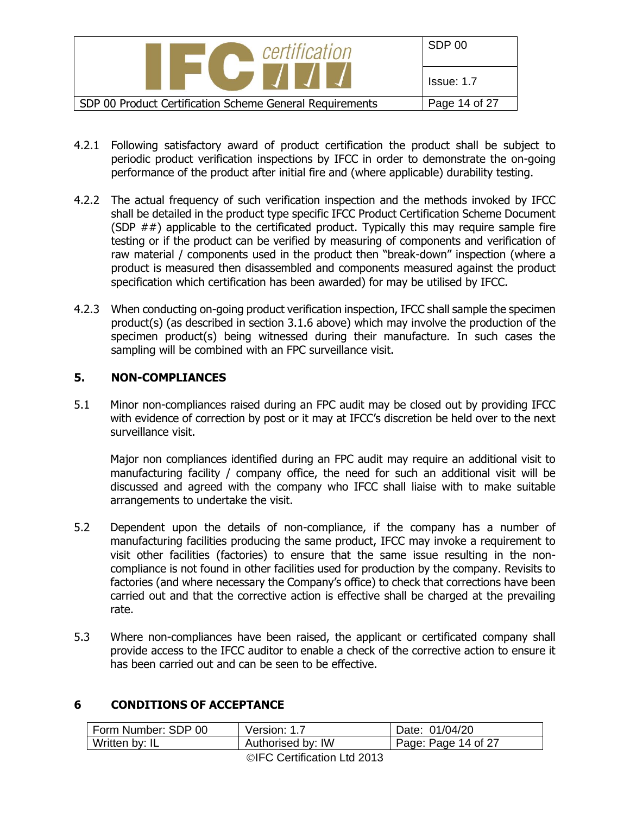| certification                                            | SDP 00            |
|----------------------------------------------------------|-------------------|
|                                                          | <b>Issue: 1.7</b> |
| SDP 00 Product Certification Scheme General Requirements | Page 14 of 27     |

- 4.2.1 Following satisfactory award of product certification the product shall be subject to periodic product verification inspections by IFCC in order to demonstrate the on-going performance of the product after initial fire and (where applicable) durability testing.
- 4.2.2 The actual frequency of such verification inspection and the methods invoked by IFCC shall be detailed in the product type specific IFCC Product Certification Scheme Document (SDP  $##$ ) applicable to the certificated product. Typically this may require sample fire testing or if the product can be verified by measuring of components and verification of raw material / components used in the product then "break-down" inspection (where a product is measured then disassembled and components measured against the product specification which certification has been awarded) for may be utilised by IFCC.
- 4.2.3 When conducting on-going product verification inspection, IFCC shall sample the specimen product(s) (as described in section 3.1.6 above) which may involve the production of the specimen product(s) being witnessed during their manufacture. In such cases the sampling will be combined with an FPC surveillance visit.

#### **5. NON-COMPLIANCES**

5.1 Minor non-compliances raised during an FPC audit may be closed out by providing IFCC with evidence of correction by post or it may at IFCC's discretion be held over to the next surveillance visit.

Major non compliances identified during an FPC audit may require an additional visit to manufacturing facility / company office, the need for such an additional visit will be discussed and agreed with the company who IFCC shall liaise with to make suitable arrangements to undertake the visit.

- 5.2 Dependent upon the details of non-compliance, if the company has a number of manufacturing facilities producing the same product, IFCC may invoke a requirement to visit other facilities (factories) to ensure that the same issue resulting in the noncompliance is not found in other facilities used for production by the company. Revisits to factories (and where necessary the Company's office) to check that corrections have been carried out and that the corrective action is effective shall be charged at the prevailing rate.
- 5.3 Where non-compliances have been raised, the applicant or certificated company shall provide access to the IFCC auditor to enable a check of the corrective action to ensure it has been carried out and can be seen to be effective.

## **6 CONDITIONS OF ACCEPTANCE**

| Form Number: SDP 00 | Version: 1.7      | Date: 01/04/20              |
|---------------------|-------------------|-----------------------------|
| Written by: IL      | Authorised by: IW | $\vert$ Page: Page 14 of 27 |
|                     |                   |                             |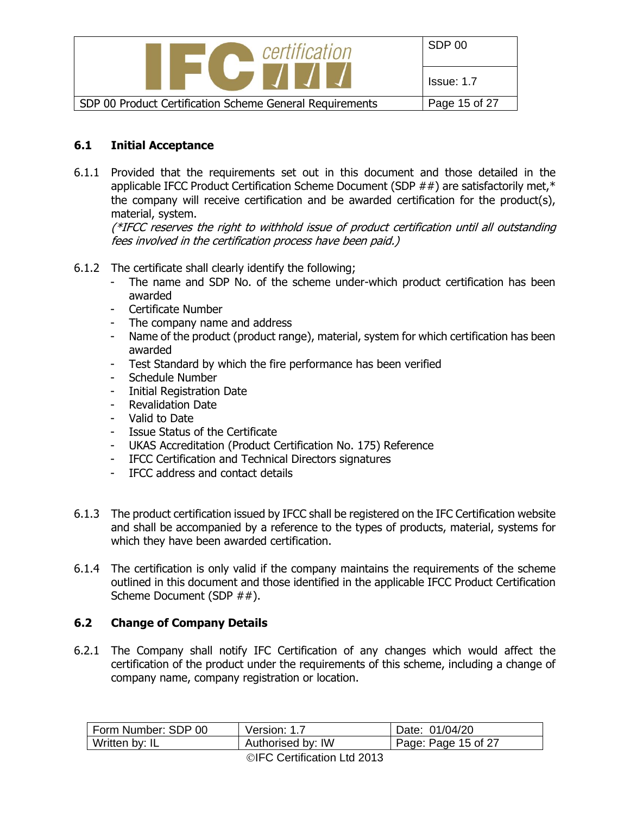

#### **6.1 Initial Acceptance**

6.1.1 Provided that the requirements set out in this document and those detailed in the applicable IFCC Product Certification Scheme Document (SDP ##) are satisfactorily met,\* the company will receive certification and be awarded certification for the product(s), material, system.

(\*IFCC reserves the right to withhold issue of product certification until all outstanding fees involved in the certification process have been paid.)

- 6.1.2 The certificate shall clearly identify the following;
	- The name and SDP No. of the scheme under-which product certification has been awarded
	- Certificate Number
	- The company name and address
	- Name of the product (product range), material, system for which certification has been awarded
	- Test Standard by which the fire performance has been verified
	- Schedule Number
	- Initial Registration Date
	- Revalidation Date
	- Valid to Date
	- Issue Status of the Certificate
	- UKAS Accreditation (Product Certification No. 175) Reference
	- IFCC Certification and Technical Directors signatures
	- IFCC address and contact details
- 6.1.3 The product certification issued by IFCC shall be registered on the IFC Certification website and shall be accompanied by a reference to the types of products, material, systems for which they have been awarded certification.
- 6.1.4 The certification is only valid if the company maintains the requirements of the scheme outlined in this document and those identified in the applicable IFCC Product Certification Scheme Document (SDP ##).

#### **6.2 Change of Company Details**

6.2.1 The Company shall notify IFC Certification of any changes which would affect the certification of the product under the requirements of this scheme, including a change of company name, company registration or location.

| Form Number: SDP 00 | Version: 1.7      | Date: 01/04/20              |
|---------------------|-------------------|-----------------------------|
| Written by: IL      | Authorised by: IW | $\vert$ Page: Page 15 of 27 |
|                     |                   |                             |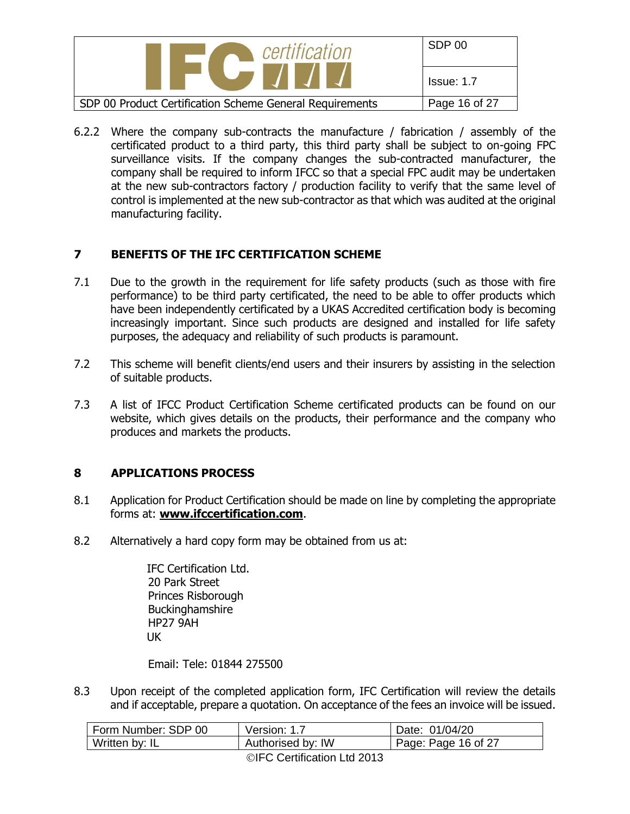| certification                                            | SDP 00        |
|----------------------------------------------------------|---------------|
|                                                          | Issue: 1.7    |
| SDP 00 Product Certification Scheme General Requirements | Page 16 of 27 |

6.2.2 Where the company sub-contracts the manufacture / fabrication / assembly of the certificated product to a third party, this third party shall be subject to on-going FPC surveillance visits. If the company changes the sub-contracted manufacturer, the company shall be required to inform IFCC so that a special FPC audit may be undertaken at the new sub-contractors factory / production facility to verify that the same level of control is implemented at the new sub-contractor as that which was audited at the original manufacturing facility.

## **7 BENEFITS OF THE IFC CERTIFICATION SCHEME**

- 7.1 Due to the growth in the requirement for life safety products (such as those with fire performance) to be third party certificated, the need to be able to offer products which have been independently certificated by a UKAS Accredited certification body is becoming increasingly important. Since such products are designed and installed for life safety purposes, the adequacy and reliability of such products is paramount.
- 7.2 This scheme will benefit clients/end users and their insurers by assisting in the selection of suitable products.
- 7.3 A list of IFCC Product Certification Scheme certificated products can be found on our website, which gives details on the products, their performance and the company who produces and markets the products.

## **8 APPLICATIONS PROCESS**

- 8.1 Application for Product Certification should be made on line by completing the appropriate forms at: **[www.ifccertification.com](http://www.ifccertification.com/)**.
- 8.2 Alternatively a hard copy form may be obtained from us at:

IFC Certification Ltd. 20 Park Street Princes Risborough Buckinghamshire HP27 9AH UK

Email: Tele: 01844 275500

8.3 Upon receipt of the completed application form, IFC Certification will review the details and if acceptable, prepare a quotation. On acceptance of the fees an invoice will be issued.

| Form Number: SDP 00 | Version: 1.7                                                                                                                                                                                                                                                                                                                                                                                                            | Date: 01/04/20      |
|---------------------|-------------------------------------------------------------------------------------------------------------------------------------------------------------------------------------------------------------------------------------------------------------------------------------------------------------------------------------------------------------------------------------------------------------------------|---------------------|
| Written by: IL      | Authorised by: IW                                                                                                                                                                                                                                                                                                                                                                                                       | Page: Page 16 of 27 |
|                     | $\mathbf{a} \mathbf{b} = \mathbf{a} \mathbf{b} \mathbf{a} \mathbf{b} \mathbf{b} \mathbf{c} \mathbf{c} \mathbf{c} \mathbf{c} \mathbf{c} \mathbf{c} \mathbf{c} \mathbf{c} \mathbf{c} \mathbf{c} \mathbf{c} \mathbf{c} \mathbf{c} \mathbf{c} \mathbf{c} \mathbf{c} \mathbf{c} \mathbf{c} \mathbf{c} \mathbf{c} \mathbf{c} \mathbf{c} \mathbf{c} \mathbf{c} \mathbf{c} \mathbf{c} \mathbf{c} \mathbf{c} \mathbf{c} \mathbf$ |                     |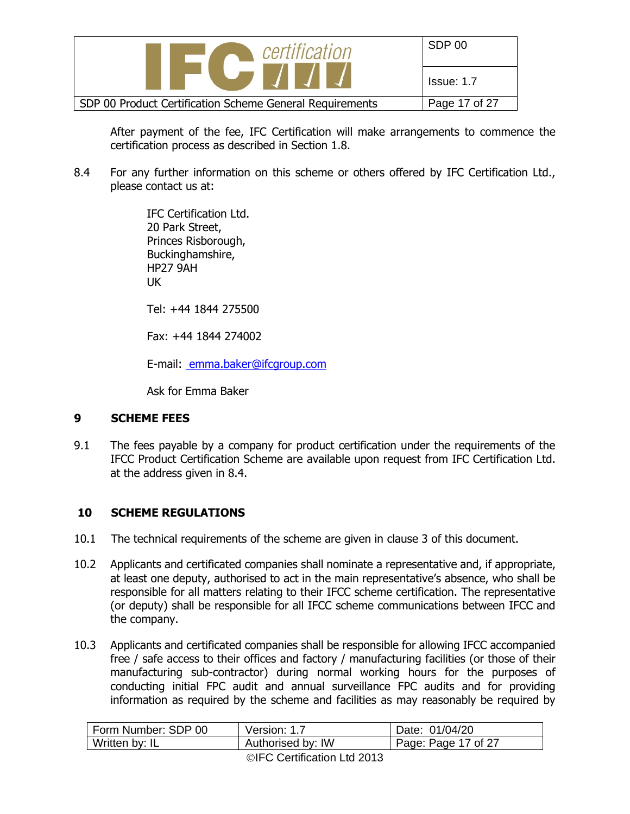| certification                                            | SDP 00            |
|----------------------------------------------------------|-------------------|
|                                                          | <b>Issue: 1.7</b> |
| SDP 00 Product Certification Scheme General Requirements | Page 17 of 27     |

After payment of the fee, IFC Certification will make arrangements to commence the certification process as described in Section 1.8.

8.4 For any further information on this scheme or others offered by IFC Certification Ltd., please contact us at:

> IFC Certification Ltd. 20 Park Street, Princes Risborough, Buckinghamshire, HP27 9AH UK

Tel: +44 1844 275500

Fax: +44 1844 274002

E-mail: emma.baker@ifcgroup.com

Ask for Emma Baker

#### **9 SCHEME FEES**

9.1 The fees payable by a company for product certification under the requirements of the IFCC Product Certification Scheme are available upon request from IFC Certification Ltd. at the address given in 8.4.

#### **10 SCHEME REGULATIONS**

- 10.1 The technical requirements of the scheme are given in clause 3 of this document.
- 10.2 Applicants and certificated companies shall nominate a representative and, if appropriate, at least one deputy, authorised to act in the main representative's absence, who shall be responsible for all matters relating to their IFCC scheme certification. The representative (or deputy) shall be responsible for all IFCC scheme communications between IFCC and the company.
- 10.3 Applicants and certificated companies shall be responsible for allowing IFCC accompanied free / safe access to their offices and factory / manufacturing facilities (or those of their manufacturing sub-contractor) during normal working hours for the purposes of conducting initial FPC audit and annual surveillance FPC audits and for providing information as required by the scheme and facilities as may reasonably be required by

| Form Number: SDP 00 | Version: 1.7      | Date: 01/04/20      |
|---------------------|-------------------|---------------------|
| Written by: IL      | Authorised by: IW | Page: Page 17 of 27 |
|                     |                   |                     |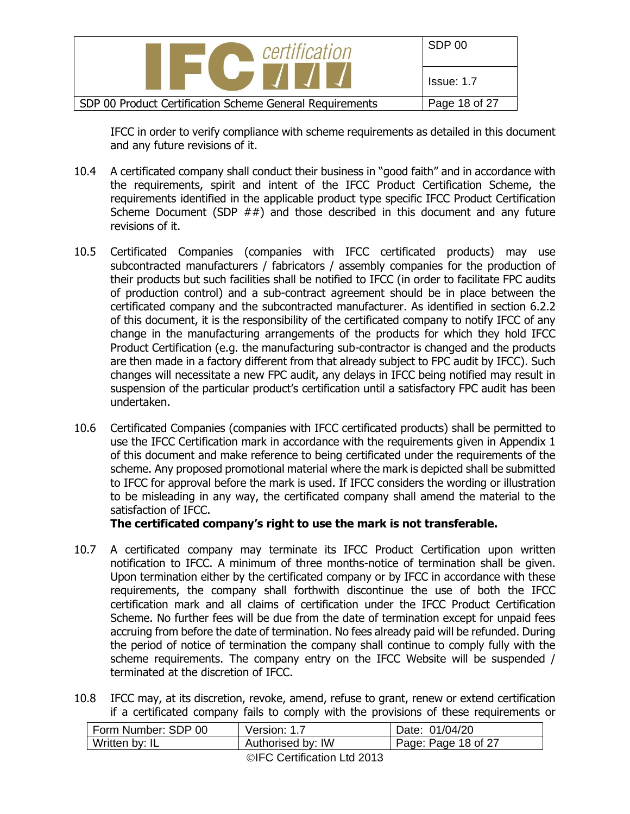

IFCC in order to verify compliance with scheme requirements as detailed in this document and any future revisions of it.

- 10.4 A certificated company shall conduct their business in "good faith" and in accordance with the requirements, spirit and intent of the IFCC Product Certification Scheme, the requirements identified in the applicable product type specific IFCC Product Certification Scheme Document (SDP  $##$ ) and those described in this document and any future revisions of it.
- 10.5 Certificated Companies (companies with IFCC certificated products) may use subcontracted manufacturers / fabricators / assembly companies for the production of their products but such facilities shall be notified to IFCC (in order to facilitate FPC audits of production control) and a sub-contract agreement should be in place between the certificated company and the subcontracted manufacturer. As identified in section 6.2.2 of this document, it is the responsibility of the certificated company to notify IFCC of any change in the manufacturing arrangements of the products for which they hold IFCC Product Certification (e.g. the manufacturing sub-contractor is changed and the products are then made in a factory different from that already subject to FPC audit by IFCC). Such changes will necessitate a new FPC audit, any delays in IFCC being notified may result in suspension of the particular product's certification until a satisfactory FPC audit has been undertaken.
- 10.6 Certificated Companies (companies with IFCC certificated products) shall be permitted to use the IFCC Certification mark in accordance with the requirements given in Appendix 1 of this document and make reference to being certificated under the requirements of the scheme. Any proposed promotional material where the mark is depicted shall be submitted to IFCC for approval before the mark is used. If IFCC considers the wording or illustration to be misleading in any way, the certificated company shall amend the material to the satisfaction of IFCC.

#### **The certificated company's right to use the mark is not transferable.**

- 10.7 A certificated company may terminate its IFCC Product Certification upon written notification to IFCC. A minimum of three months-notice of termination shall be given. Upon termination either by the certificated company or by IFCC in accordance with these requirements, the company shall forthwith discontinue the use of both the IFCC certification mark and all claims of certification under the IFCC Product Certification Scheme. No further fees will be due from the date of termination except for unpaid fees accruing from before the date of termination. No fees already paid will be refunded. During the period of notice of termination the company shall continue to comply fully with the scheme requirements. The company entry on the IFCC Website will be suspended / terminated at the discretion of IFCC.
- 10.8 IFCC may, at its discretion, revoke, amend, refuse to grant, renew or extend certification if a certificated company fails to comply with the provisions of these requirements or

| Form Number: SDP 00 | Version: 1.7      | Date: 01/04/20      |
|---------------------|-------------------|---------------------|
| Written by: IL      | Authorised by: IW | Page: Page 18 of 27 |
|                     |                   |                     |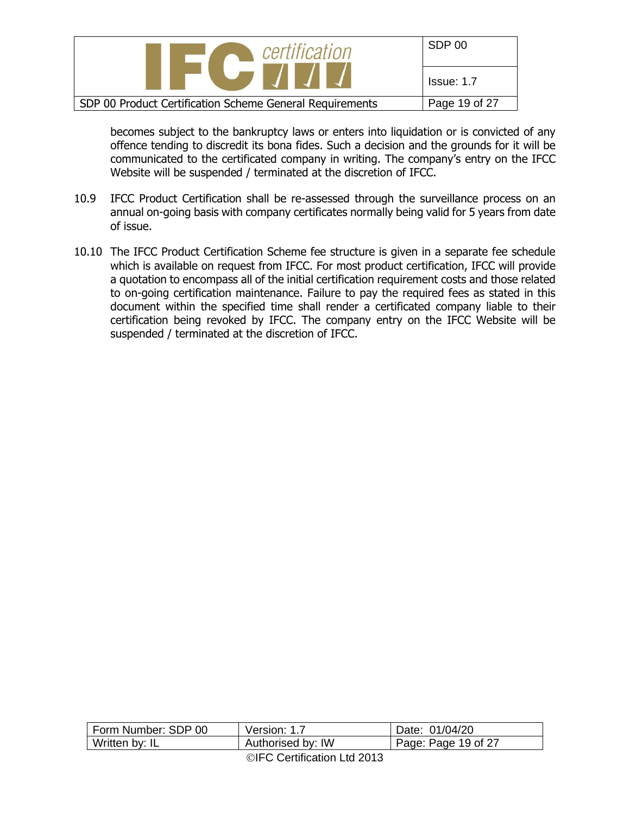| certification                                            | SDP 00        |
|----------------------------------------------------------|---------------|
|                                                          | Issue: 1.7    |
| SDP 00 Product Certification Scheme General Requirements | Page 19 of 27 |

becomes subject to the bankruptcy laws or enters into liquidation or is convicted of any offence tending to discredit its bona fides. Such a decision and the grounds for it will be communicated to the certificated company in writing. The company's entry on the IFCC Website will be suspended / terminated at the discretion of IFCC.

- 10.9 IFCC Product Certification shall be re-assessed through the surveillance process on an annual on-going basis with company certificates normally being valid for 5 years from date of issue.
- 10.10 The IFCC Product Certification Scheme fee structure is given in a separate fee schedule which is available on request from IFCC. For most product certification, IFCC will provide a quotation to encompass all of the initial certification requirement costs and those related to on-going certification maintenance. Failure to pay the required fees as stated in this document within the specified time shall render a certificated company liable to their certification being revoked by IFCC. The company entry on the IFCC Website will be suspended / terminated at the discretion of IFCC.

| Form Number: SDP 00         | Version: 1.7      | Date: 01/04/20      |
|-----------------------------|-------------------|---------------------|
| Written by: IL              | Authorised by: IW | Page: Page 19 of 27 |
| ©IFC Certification Ltd 2013 |                   |                     |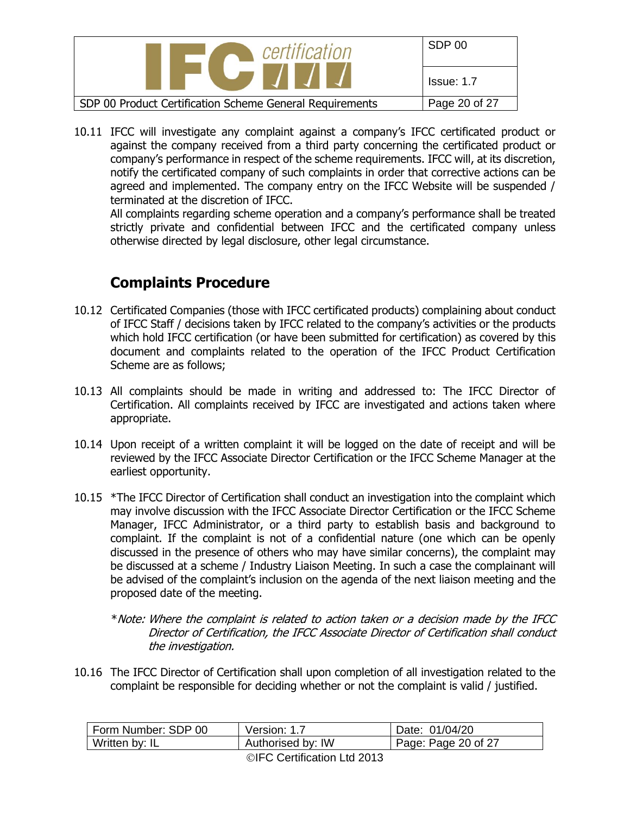| certification                                            | SDP 00            |
|----------------------------------------------------------|-------------------|
|                                                          | <b>Issue: 1.7</b> |
| SDP 00 Product Certification Scheme General Requirements | Page 20 of 27     |

10.11 IFCC will investigate any complaint against a company's IFCC certificated product or against the company received from a third party concerning the certificated product or company's performance in respect of the scheme requirements. IFCC will, at its discretion, notify the certificated company of such complaints in order that corrective actions can be agreed and implemented. The company entry on the IFCC Website will be suspended / terminated at the discretion of IFCC.

All complaints regarding scheme operation and a company's performance shall be treated strictly private and confidential between IFCC and the certificated company unless otherwise directed by legal disclosure, other legal circumstance.

# **Complaints Procedure**

- 10.12 Certificated Companies (those with IFCC certificated products) complaining about conduct of IFCC Staff / decisions taken by IFCC related to the company's activities or the products which hold IFCC certification (or have been submitted for certification) as covered by this document and complaints related to the operation of the IFCC Product Certification Scheme are as follows;
- 10.13 All complaints should be made in writing and addressed to: The IFCC Director of Certification. All complaints received by IFCC are investigated and actions taken where appropriate.
- 10.14 Upon receipt of a written complaint it will be logged on the date of receipt and will be reviewed by the IFCC Associate Director Certification or the IFCC Scheme Manager at the earliest opportunity.
- 10.15 \*The IFCC Director of Certification shall conduct an investigation into the complaint which may involve discussion with the IFCC Associate Director Certification or the IFCC Scheme Manager, IFCC Administrator, or a third party to establish basis and background to complaint. If the complaint is not of a confidential nature (one which can be openly discussed in the presence of others who may have similar concerns), the complaint may be discussed at a scheme / Industry Liaison Meeting. In such a case the complainant will be advised of the complaint's inclusion on the agenda of the next liaison meeting and the proposed date of the meeting.
	- \*Note: Where the complaint is related to action taken or a decision made by the IFCC Director of Certification, the IFCC Associate Director of Certification shall conduct the investigation.
- 10.16 The IFCC Director of Certification shall upon completion of all investigation related to the complaint be responsible for deciding whether or not the complaint is valid / justified.

| Form Number: SDP 00 | Version: 1.7      | Date: 01/04/20      |
|---------------------|-------------------|---------------------|
| Written by: IL      | Authorised by: IW | Page: Page 20 of 27 |
|                     |                   |                     |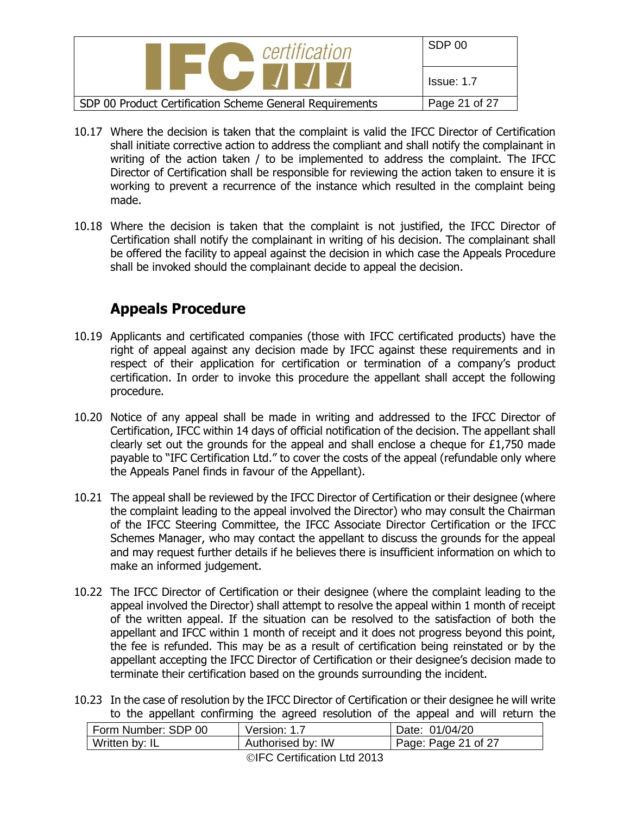| certification                                            | SDP 00            |
|----------------------------------------------------------|-------------------|
| $\blacksquare$                                           | <b>Issue: 1.7</b> |
| SDP 00 Product Certification Scheme General Requirements | Page 21 of 27     |

- 10.17 Where the decision is taken that the complaint is valid the IFCC Director of Certification shall initiate corrective action to address the compliant and shall notify the complainant in writing of the action taken / to be implemented to address the complaint. The IFCC Director of Certification shall be responsible for reviewing the action taken to ensure it is working to prevent a recurrence of the instance which resulted in the complaint being made.
- 10.18 Where the decision is taken that the complaint is not justified, the IFCC Director of Certification shall notify the complainant in writing of his decision. The complainant shall be offered the facility to appeal against the decision in which case the Appeals Procedure shall be invoked should the complainant decide to appeal the decision.

## **Appeals Procedure**

- 10.19 Applicants and certificated companies (those with IFCC certificated products) have the right of appeal against any decision made by IFCC against these requirements and in respect of their application for certification or termination of a company's product certification. In order to invoke this procedure the appellant shall accept the following procedure.
- 10.20 Notice of any appeal shall be made in writing and addressed to the IFCC Director of Certification, IFCC within 14 days of official notification of the decision. The appellant shall clearly set out the grounds for the appeal and shall enclose a cheque for  $£1,750$  made payable to "IFC Certification Ltd." to cover the costs of the appeal (refundable only where the Appeals Panel finds in favour of the Appellant).
- 10.21 The appeal shall be reviewed by the IFCC Director of Certification or their designee (where the complaint leading to the appeal involved the Director) who may consult the Chairman of the IFCC Steering Committee, the IFCC Associate Director Certification or the IFCC Schemes Manager, who may contact the appellant to discuss the grounds for the appeal and may request further details if he believes there is insufficient information on which to make an informed judgement.
- 10.22 The IFCC Director of Certification or their designee (where the complaint leading to the appeal involved the Director) shall attempt to resolve the appeal within 1 month of receipt of the written appeal. If the situation can be resolved to the satisfaction of both the appellant and IFCC within 1 month of receipt and it does not progress beyond this point, the fee is refunded. This may be as a result of certification being reinstated or by the appellant accepting the IFCC Director of Certification or their designee's decision made to terminate their certification based on the grounds surrounding the incident.
- 10.23 In the case of resolution by the IFCC Director of Certification or their designee he will write to the appellant confirming the agreed resolution of the appeal and will return the

| Form Number: SDP 00 | Version: 1.7      | Date: 01/04/20      |
|---------------------|-------------------|---------------------|
| Written by: IL      | Authorised by: IW | Page: Page 21 of 27 |
|                     |                   |                     |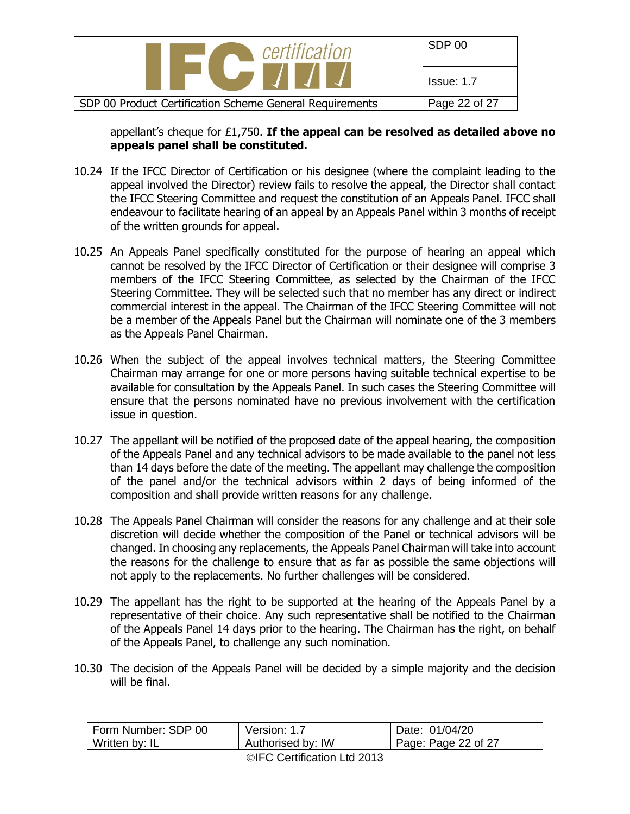

appellant's cheque for £1,750. **If the appeal can be resolved as detailed above no appeals panel shall be constituted.**

- 10.24 If the IFCC Director of Certification or his designee (where the complaint leading to the appeal involved the Director) review fails to resolve the appeal, the Director shall contact the IFCC Steering Committee and request the constitution of an Appeals Panel. IFCC shall endeavour to facilitate hearing of an appeal by an Appeals Panel within 3 months of receipt of the written grounds for appeal.
- 10.25 An Appeals Panel specifically constituted for the purpose of hearing an appeal which cannot be resolved by the IFCC Director of Certification or their designee will comprise 3 members of the IFCC Steering Committee, as selected by the Chairman of the IFCC Steering Committee. They will be selected such that no member has any direct or indirect commercial interest in the appeal. The Chairman of the IFCC Steering Committee will not be a member of the Appeals Panel but the Chairman will nominate one of the 3 members as the Appeals Panel Chairman.
- 10.26 When the subject of the appeal involves technical matters, the Steering Committee Chairman may arrange for one or more persons having suitable technical expertise to be available for consultation by the Appeals Panel. In such cases the Steering Committee will ensure that the persons nominated have no previous involvement with the certification issue in question.
- 10.27 The appellant will be notified of the proposed date of the appeal hearing, the composition of the Appeals Panel and any technical advisors to be made available to the panel not less than 14 days before the date of the meeting. The appellant may challenge the composition of the panel and/or the technical advisors within 2 days of being informed of the composition and shall provide written reasons for any challenge.
- 10.28 The Appeals Panel Chairman will consider the reasons for any challenge and at their sole discretion will decide whether the composition of the Panel or technical advisors will be changed. In choosing any replacements, the Appeals Panel Chairman will take into account the reasons for the challenge to ensure that as far as possible the same objections will not apply to the replacements. No further challenges will be considered.
- 10.29 The appellant has the right to be supported at the hearing of the Appeals Panel by a representative of their choice. Any such representative shall be notified to the Chairman of the Appeals Panel 14 days prior to the hearing. The Chairman has the right, on behalf of the Appeals Panel, to challenge any such nomination.
- 10.30 The decision of the Appeals Panel will be decided by a simple majority and the decision will be final.

| Form Number: SDP 00 | Version: 1.7      | Date: 01/04/20      |
|---------------------|-------------------|---------------------|
| Written by: IL      | Authorised by: IW | Page: Page 22 of 27 |
|                     |                   |                     |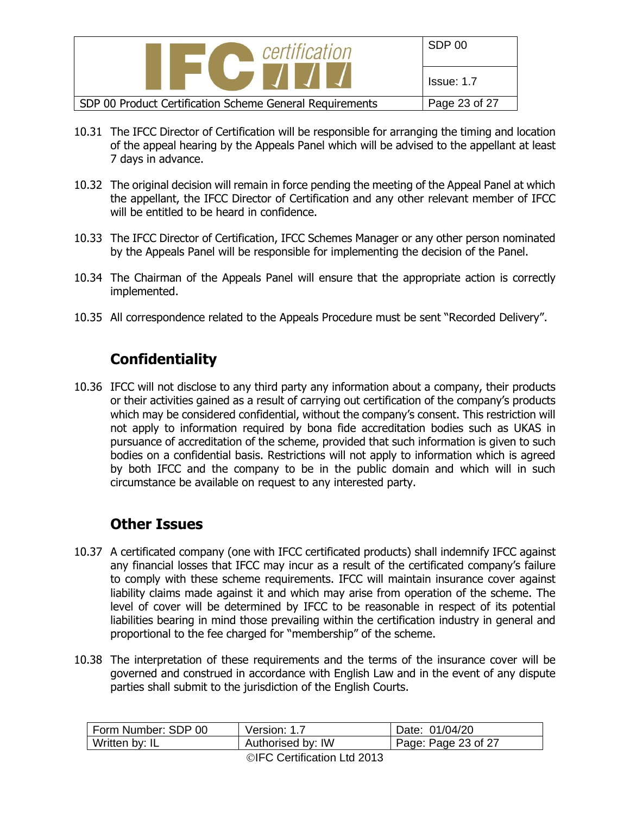| certification                                            | SDP 00            |
|----------------------------------------------------------|-------------------|
| $\blacksquare$                                           | <b>Issue: 1.7</b> |
| SDP 00 Product Certification Scheme General Requirements | Page 23 of 27     |

- 10.31 The IFCC Director of Certification will be responsible for arranging the timing and location of the appeal hearing by the Appeals Panel which will be advised to the appellant at least 7 days in advance.
- 10.32 The original decision will remain in force pending the meeting of the Appeal Panel at which the appellant, the IFCC Director of Certification and any other relevant member of IFCC will be entitled to be heard in confidence.
- 10.33 The IFCC Director of Certification, IFCC Schemes Manager or any other person nominated by the Appeals Panel will be responsible for implementing the decision of the Panel.
- 10.34 The Chairman of the Appeals Panel will ensure that the appropriate action is correctly implemented.
- 10.35 All correspondence related to the Appeals Procedure must be sent "Recorded Delivery".

# **Confidentiality**

10.36 IFCC will not disclose to any third party any information about a company, their products or their activities gained as a result of carrying out certification of the company's products which may be considered confidential, without the company's consent. This restriction will not apply to information required by bona fide accreditation bodies such as UKAS in pursuance of accreditation of the scheme, provided that such information is given to such bodies on a confidential basis. Restrictions will not apply to information which is agreed by both IFCC and the company to be in the public domain and which will in such circumstance be available on request to any interested party.

# **Other Issues**

- 10.37 A certificated company (one with IFCC certificated products) shall indemnify IFCC against any financial losses that IFCC may incur as a result of the certificated company's failure to comply with these scheme requirements. IFCC will maintain insurance cover against liability claims made against it and which may arise from operation of the scheme. The level of cover will be determined by IFCC to be reasonable in respect of its potential liabilities bearing in mind those prevailing within the certification industry in general and proportional to the fee charged for "membership" of the scheme.
- 10.38 The interpretation of these requirements and the terms of the insurance cover will be governed and construed in accordance with English Law and in the event of any dispute parties shall submit to the jurisdiction of the English Courts.

| Form Number: SDP 00 | Version: 1.7                         | Date: 01/04/20              |
|---------------------|--------------------------------------|-----------------------------|
| Written by: IL      | Authorised by: IW                    | $\vert$ Page: Page 23 of 27 |
|                     | $\bigcirc$ IFO Continuation Ltd 2012 |                             |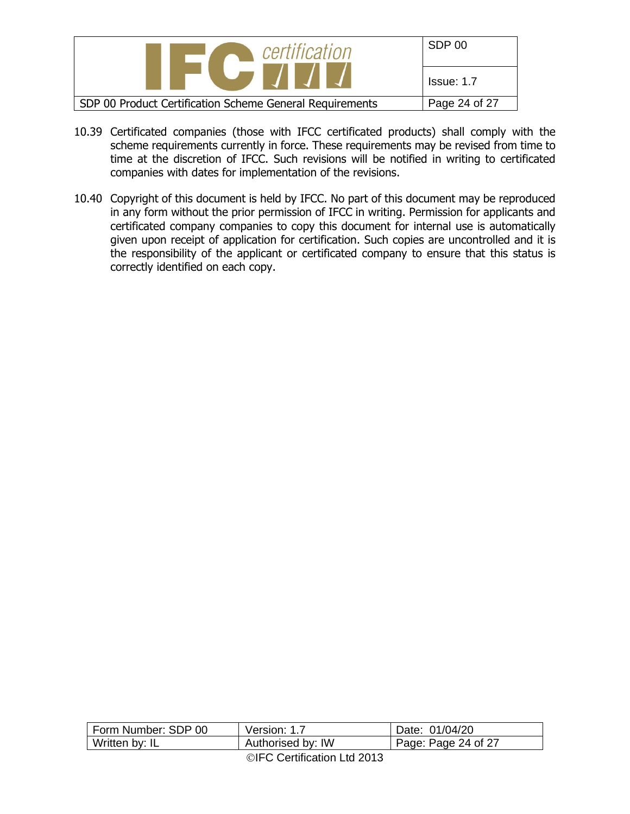| certification                                            | SDP 00            |
|----------------------------------------------------------|-------------------|
|                                                          | <b>Issue: 1.7</b> |
| SDP 00 Product Certification Scheme General Requirements | Page 24 of 27     |

- 10.39 Certificated companies (those with IFCC certificated products) shall comply with the scheme requirements currently in force. These requirements may be revised from time to time at the discretion of IFCC. Such revisions will be notified in writing to certificated companies with dates for implementation of the revisions.
- 10.40 Copyright of this document is held by IFCC. No part of this document may be reproduced in any form without the prior permission of IFCC in writing. Permission for applicants and certificated company companies to copy this document for internal use is automatically given upon receipt of application for certification. Such copies are uncontrolled and it is the responsibility of the applicant or certificated company to ensure that this status is correctly identified on each copy.

| Form Number: SDP 00 | Version: 1.7                                                                                                                                                                                                                                                                                                                                                                      | Date: 01/04/20              |
|---------------------|-----------------------------------------------------------------------------------------------------------------------------------------------------------------------------------------------------------------------------------------------------------------------------------------------------------------------------------------------------------------------------------|-----------------------------|
| Written by: IL      | Authorised by: IW                                                                                                                                                                                                                                                                                                                                                                 | $\vert$ Page: Page 24 of 27 |
|                     | $\bigcap$ $\bigcap$ $\bigcap$ $\bigcap$ $\bigcap$ $\bigcap$ $\bigcap$ $\bigcap$ $\bigcap$ $\bigcap$ $\bigcap$ $\bigcap$ $\bigcap$ $\bigcap$ $\bigcap$ $\bigcap$ $\bigcap$ $\bigcap$ $\bigcap$ $\bigcap$ $\bigcap$ $\bigcap$ $\bigcap$ $\bigcap$ $\bigcap$ $\bigcap$ $\bigcap$ $\bigcap$ $\bigcap$ $\bigcap$ $\bigcap$ $\bigcap$ $\bigcap$ $\bigcap$ $\bigcap$ $\bigcap$ $\bigcap$ |                             |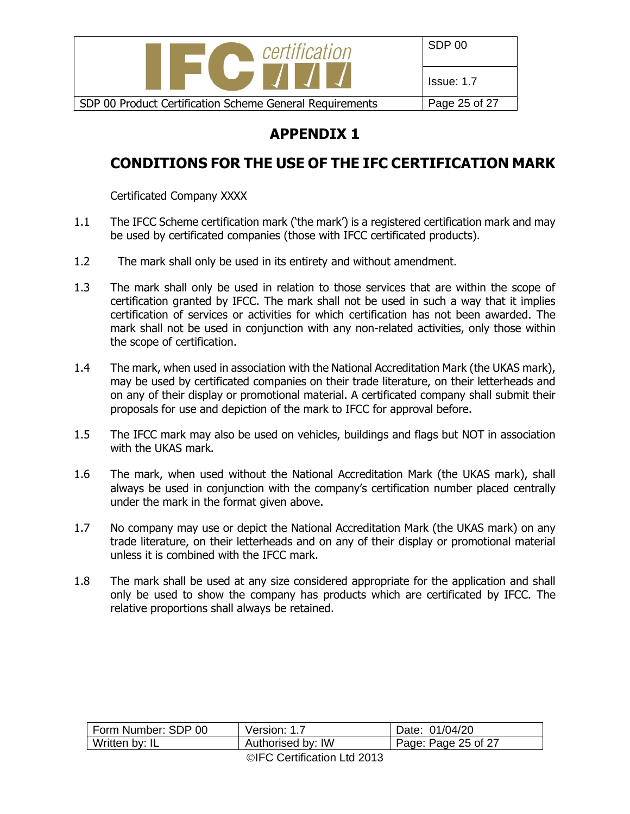

# **APPENDIX 1**

# **CONDITIONS FOR THE USE OF THE IFC CERTIFICATION MARK**

Certificated Company XXXX

- 1.1 The IFCC Scheme certification mark ('the mark') is a registered certification mark and may be used by certificated companies (those with IFCC certificated products).
- 1.2 The mark shall only be used in its entirety and without amendment.
- 1.3 The mark shall only be used in relation to those services that are within the scope of certification granted by IFCC. The mark shall not be used in such a way that it implies certification of services or activities for which certification has not been awarded. The mark shall not be used in conjunction with any non-related activities, only those within the scope of certification.
- 1.4 The mark, when used in association with the National Accreditation Mark (the UKAS mark), may be used by certificated companies on their trade literature, on their letterheads and on any of their display or promotional material. A certificated company shall submit their proposals for use and depiction of the mark to IFCC for approval before.
- 1.5 The IFCC mark may also be used on vehicles, buildings and flags but NOT in association with the UKAS mark.
- 1.6 The mark, when used without the National Accreditation Mark (the UKAS mark), shall always be used in conjunction with the company's certification number placed centrally under the mark in the format given above.
- 1.7 No company may use or depict the National Accreditation Mark (the UKAS mark) on any trade literature, on their letterheads and on any of their display or promotional material unless it is combined with the IFCC mark.
- 1.8 The mark shall be used at any size considered appropriate for the application and shall only be used to show the company has products which are certificated by IFCC. The relative proportions shall always be retained.

| Form Number: SDP 00 | Version: 1.7      | Date: 01/04/20              |
|---------------------|-------------------|-----------------------------|
| Written by: IL      | Authorised by: IW | $\vert$ Page: Page 25 of 27 |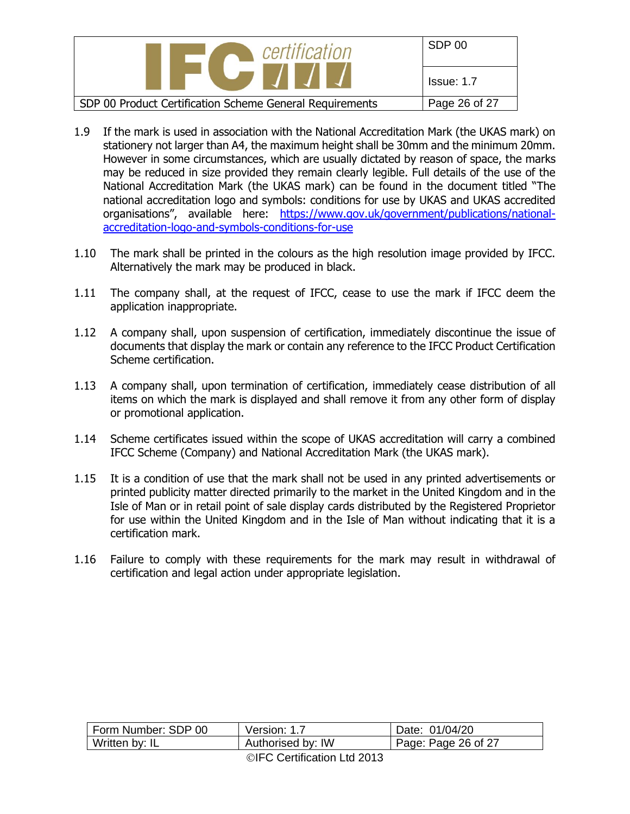| certification                                            | SDP 00            |
|----------------------------------------------------------|-------------------|
| $\blacksquare$                                           | <b>Issue: 1.7</b> |
| SDP 00 Product Certification Scheme General Requirements | Page 26 of 27     |

- 1.9 If the mark is used in association with the National Accreditation Mark (the UKAS mark) on stationery not larger than A4, the maximum height shall be 30mm and the minimum 20mm. However in some circumstances, which are usually dictated by reason of space, the marks may be reduced in size provided they remain clearly legible. Full details of the use of the National Accreditation Mark (the UKAS mark) can be found in the document titled "The national accreditation logo and symbols: conditions for use by UKAS and UKAS accredited organisations", available here: [https://www.gov.uk/government/publications/national](https://www.gov.uk/government/publications/national-accreditation-logo-and-symbols-conditions-for-use)[accreditation-logo-and-symbols-conditions-for-use](https://www.gov.uk/government/publications/national-accreditation-logo-and-symbols-conditions-for-use)
- 1.10 The mark shall be printed in the colours as the high resolution image provided by IFCC. Alternatively the mark may be produced in black.
- 1.11 The company shall, at the request of IFCC, cease to use the mark if IFCC deem the application inappropriate.
- 1.12 A company shall, upon suspension of certification, immediately discontinue the issue of documents that display the mark or contain any reference to the IFCC Product Certification Scheme certification.
- 1.13 A company shall, upon termination of certification, immediately cease distribution of all items on which the mark is displayed and shall remove it from any other form of display or promotional application.
- 1.14 Scheme certificates issued within the scope of UKAS accreditation will carry a combined IFCC Scheme (Company) and National Accreditation Mark (the UKAS mark).
- 1.15 It is a condition of use that the mark shall not be used in any printed advertisements or printed publicity matter directed primarily to the market in the United Kingdom and in the Isle of Man or in retail point of sale display cards distributed by the Registered Proprietor for use within the United Kingdom and in the Isle of Man without indicating that it is a certification mark.
- 1.16 Failure to comply with these requirements for the mark may result in withdrawal of certification and legal action under appropriate legislation.

| Form Number: SDP 00 | Version: 1.7      | Date: 01/04/20              |
|---------------------|-------------------|-----------------------------|
| Written by: IL      | Authorised by: IW | $\vert$ Page: Page 26 of 27 |